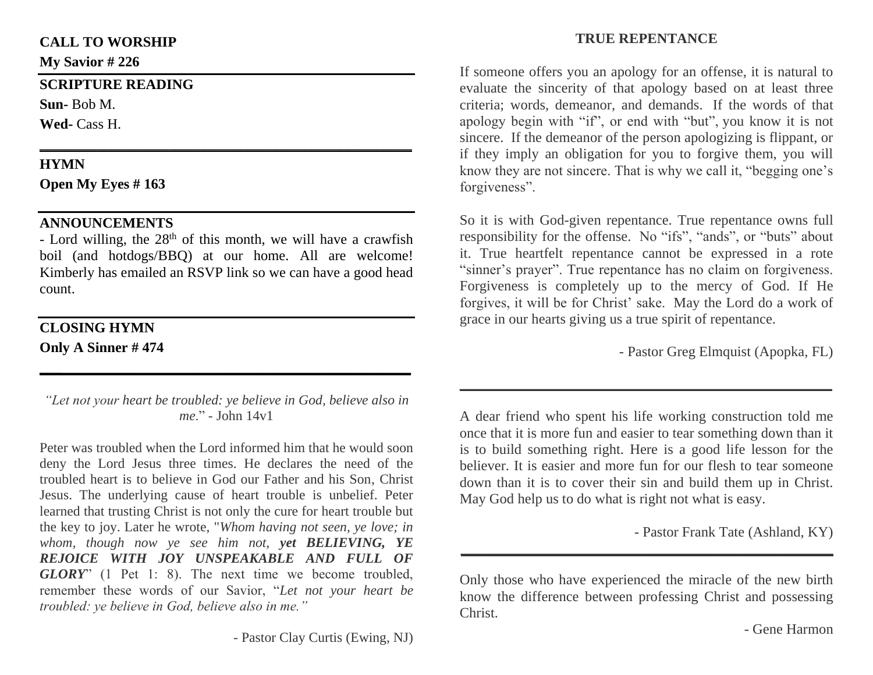#### **CALL TO WORSHIP**

**My Savior # 226**

#### **SCRIPTURE READING**

**Sun-** Bob M.

**Wed-** Cass H.

## **HYMN**

**Open My Eyes # 163**

# **ANNOUNCEMENTS**

- Lord willing, the  $28<sup>th</sup>$  of this month, we will have a crawfish boil (and hotdogs/BBQ) at our home. All are welcome! Kimberly has emailed an RSVP link so we can have a good head count.

**\_\_\_\_\_\_\_\_\_\_\_\_\_\_\_\_\_\_\_\_\_\_\_\_\_\_\_\_\_\_\_\_\_\_\_\_\_\_\_\_\_\_\_\_\_\_\_\_\_\_\_\_**

## **CLOSING HYMN Only A Sinner # 474**

*"Let not your heart be troubled: ye believe in God, believe also in me*." - John 14v1

**\_\_\_\_\_\_\_\_\_\_\_\_\_\_\_\_\_\_\_\_\_\_\_\_\_\_\_\_\_\_\_\_\_\_\_\_\_\_\_\_\_\_\_\_\_\_\_\_\_\_**

Peter was troubled when the Lord informed him that he would soon deny the Lord Jesus three times. He declares the need of the troubled heart is to believe in God our Father and his Son, Christ Jesus. The underlying cause of heart trouble is unbelief. Peter learned that trusting Christ is not only the cure for heart trouble but the key to joy. Later he wrote, "*Whom having not seen, ye love; in whom, though now ye see him not, yet BELIEVING, YE REJOICE WITH JOY UNSPEAKABLE AND FULL OF GLORY*" (1 Pet 1: 8). The next time we become troubled, remember these words of our Savior, "*Let not your heart be troubled: ye believe in God, believe also in me."*

# **TRUE REPENTANCE**

If someone offers you an apology for an offense, it is natural to evaluate the sincerity of that apology based on at least three criteria; words, demeanor, and demands. If the words of that apology begin with "if", or end with "but", you know it is not sincere. If the demeanor of the person apologizing is flippant, or if they imply an obligation for you to forgive them, you will know they are not sincere. That is why we call it, "begging one's forgiveness".

So it is with God-given repentance. True repentance owns full responsibility for the offense. No "ifs", "ands", or "buts" about it. True heartfelt repentance cannot be expressed in a rote "sinner's prayer". True repentance has no claim on forgiveness. Forgiveness is completely up to the mercy of God. If He forgives, it will be for Christ' sake. May the Lord do a work of grace in our hearts giving us a true spirit of repentance.

- Pastor Greg Elmquist (Apopka, FL)

A dear friend who spent his life working construction told me once that it is more fun and easier to tear something down than it is to build something right. Here is a good life lesson for the believer. It is easier and more fun for our flesh to tear someone down than it is to cover their sin and build them up in Christ. May God help us to do what is right not what is easy.

**\_\_\_\_\_\_\_\_\_\_\_\_\_\_\_\_\_\_\_\_\_\_\_\_\_\_\_\_\_\_\_\_\_\_\_\_\_\_\_\_\_\_\_\_\_\_\_\_\_\_\_\_**

- Pastor Frank Tate (Ashland, KY)

Only those who have experienced the miracle of the new birth know the difference between professing Christ and possessing Christ.

**\_\_\_\_\_\_\_\_\_\_\_\_\_\_\_\_\_\_\_\_\_\_\_\_\_\_\_\_\_\_\_\_\_\_\_\_\_\_\_\_\_\_\_\_\_\_\_\_\_\_\_\_**

- Gene Harmon